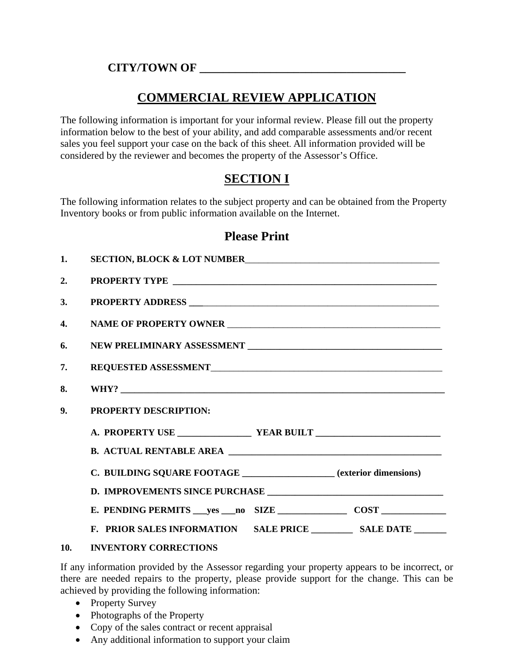### **CITY/TOWN OF \_\_\_\_\_\_\_\_\_\_\_\_\_\_\_\_\_\_\_\_\_\_\_\_\_\_\_\_\_\_\_\_\_\_\_**

# **COMMERCIAL REVIEW APPLICATION**

The following information is important for your informal review. Please fill out the property information below to the best of your ability, and add comparable assessments and/or recent sales you feel support your case on the back of this sheet. All information provided will be considered by the reviewer and becomes the property of the Assessor's Office.

# **SECTION I**

The following information relates to the subject property and can be obtained from the Property Inventory books or from public information available on the Internet.

### **Please Print**

| 1. | SECTION, BLOCK & LOT NUMBER                                       |  |  |
|----|-------------------------------------------------------------------|--|--|
| 2. |                                                                   |  |  |
| 3. |                                                                   |  |  |
| 4. |                                                                   |  |  |
| 6. |                                                                   |  |  |
| 7. |                                                                   |  |  |
| 8. |                                                                   |  |  |
| 9. | <b>PROPERTY DESCRIPTION:</b>                                      |  |  |
|    |                                                                   |  |  |
|    |                                                                   |  |  |
|    | C. BUILDING SQUARE FOOTAGE _________________(exterior dimensions) |  |  |
|    |                                                                   |  |  |
|    |                                                                   |  |  |
|    |                                                                   |  |  |
|    | 10 INVENTORY CORRECTIONS                                          |  |  |

### **10. INVENTORY CORRECTIONS**

If any information provided by the Assessor regarding your property appears to be incorrect, or there are needed repairs to the property, please provide support for the change. This can be achieved by providing the following information:

- Property Survey
- Photographs of the Property
- Copy of the sales contract or recent appraisal
- Any additional information to support your claim